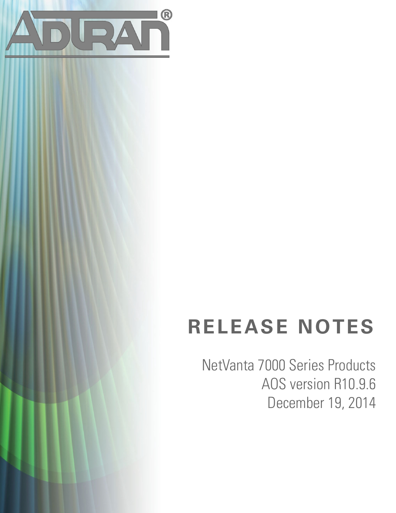

# **RELEASE NOTES**

NetVanta 7000 Series Products AOS version R10.9.6 December 19, 2014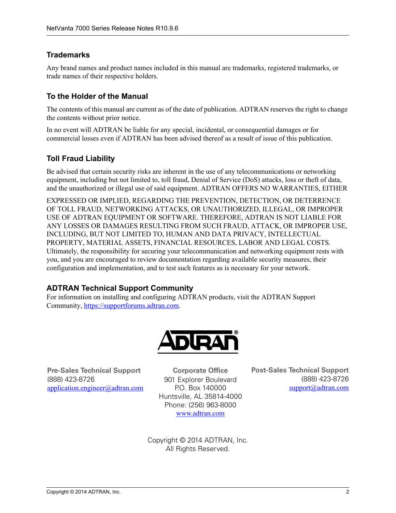## **Trademarks**

Any brand names and product names included in this manual are trademarks, registered trademarks, or trade names of their respective holders.

## **To the Holder of the Manual**

The contents of this manual are current as of the date of publication. ADTRAN reserves the right to change the contents without prior notice.

In no event will ADTRAN be liable for any special, incidental, or consequential damages or for commercial losses even if ADTRAN has been advised thereof as a result of issue of this publication.

## **Toll Fraud Liability**

Be advised that certain security risks are inherent in the use of any telecommunications or networking equipment, including but not limited to, toll fraud, Denial of Service (DoS) attacks, loss or theft of data, and the unauthorized or illegal use of said equipment. ADTRAN OFFERS NO WARRANTIES, EITHER

EXPRESSED OR IMPLIED, REGARDING THE PREVENTION, DETECTION, OR DETERRENCE OF TOLL FRAUD, NETWORKING ATTACKS, OR UNAUTHORIZED, ILLEGAL, OR IMPROPER USE OF ADTRAN EQUIPMENT OR SOFTWARE. THEREFORE, ADTRAN IS NOT LIABLE FOR ANY LOSSES OR DAMAGES RESULTING FROM SUCH FRAUD, ATTACK, OR IMPROPER USE, INCLUDING, BUT NOT LIMITED TO, HUMAN AND DATA PRIVACY, INTELLECTUAL PROPERTY, MATERIAL ASSETS, FINANCIAL RESOURCES, LABOR AND LEGAL COSTS. Ultimately, the responsibility for securing your telecommunication and networking equipment rests with you, and you are encouraged to review documentation regarding available security measures, their configuration and implementation, and to test such features as is necessary for your network.

## **ADTRAN Technical Support Community**

For information on installing and configuring ADTRAN products, visit the ADTRAN Support Community, https://supportforums.adtran.com.



**Pre-Sales Technical Support** (888) 423-8726 application.engineer@adtran.com

**Corporate Office** 901 Explorer Boulevard P.O. Box 140000 Huntsville, AL 35814-4000 Phone: (256) 963-8000 www.adtran.com

**Post-Sales Technical Support** (888) 423-8726 support@adtran.com

Copyright © 2014 ADTRAN, Inc. All Rights Reserved.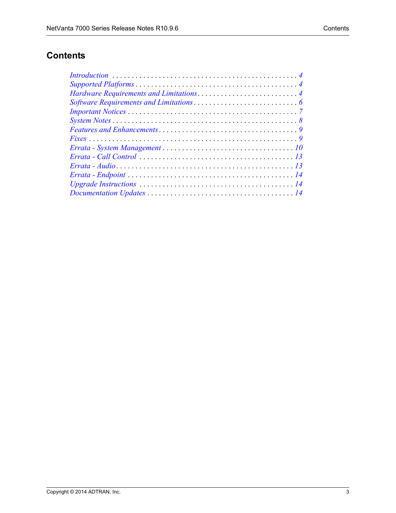# **Contents**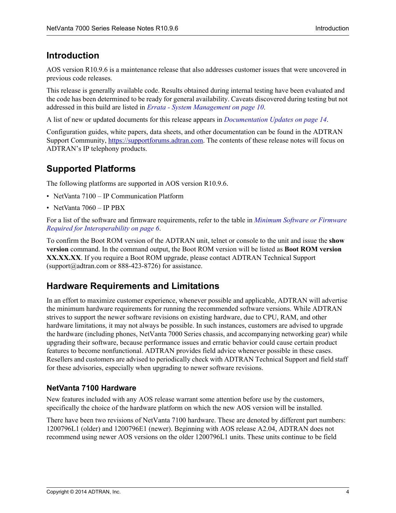# <span id="page-3-1"></span>**Introduction**

AOS version R10.9.6 is a maintenance release that also addresses customer issues that were uncovered in previous code releases.

This release is generally available code. Results obtained during internal testing have been evaluated and the code has been determined to be ready for general availability. Caveats discovered during testing but not addressed in this build are listed in *Errata - System Management on page 10*.

A list of new or updated documents for this release appears in *[Documentation Updates on page 14](#page-13-0)*.

Configuration guides, white papers, data sheets, and other documentation can be found in the ADTRAN Support Community, https://supportforums.adtran.com. The contents of these release notes will focus on ADTRAN's IP telephony products.

# <span id="page-3-0"></span>**Supported Platforms**

The following platforms are supported in AOS version R10.9.6.

- NetVanta 7100 IP Communication Platform
- NetVanta 7060 IP PBX

For a list of the software and firmware requirements, refer to the table in *[Minimum Software or Firmware](#page-5-1)  [Required for Interoperability on page 6](#page-5-1)*.

To confirm the Boot ROM version of the ADTRAN unit, telnet or console to the unit and issue the **show version** command. In the command output, the Boot ROM version will be listed as **Boot ROM version XX.XX.XX**. If you require a Boot ROM upgrade, please contact ADTRAN Technical Support (support $@$ adtran.com or 888-423-8726) for assistance.

# <span id="page-3-2"></span>**Hardware Requirements and Limitations**

In an effort to maximize customer experience, whenever possible and applicable, ADTRAN will advertise the minimum hardware requirements for running the recommended software versions. While ADTRAN strives to support the newer software revisions on existing hardware, due to CPU, RAM, and other hardware limitations, it may not always be possible. In such instances, customers are advised to upgrade the hardware (including phones, NetVanta 7000 Series chassis, and accompanying networking gear) while upgrading their software, because performance issues and erratic behavior could cause certain product features to become nonfunctional. ADTRAN provides field advice whenever possible in these cases. Resellers and customers are advised to periodically check with ADTRAN Technical Support and field staff for these advisories, especially when upgrading to newer software revisions.

### **NetVanta 7100 Hardware**

New features included with any AOS release warrant some attention before use by the customers, specifically the choice of the hardware platform on which the new AOS version will be installed.

There have been two revisions of NetVanta 7100 hardware. These are denoted by different part numbers: 1200796L1 (older) and 1200796E1 (newer). Beginning with AOS release A2.04, ADTRAN does not recommend using newer AOS versions on the older 1200796L1 units. These units continue to be field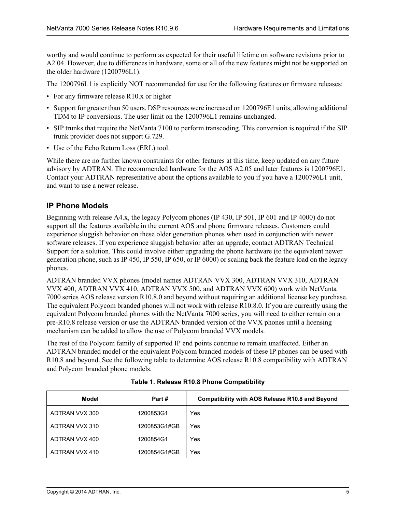worthy and would continue to perform as expected for their useful lifetime on software revisions prior to A2.04. However, due to differences in hardware, some or all of the new features might not be supported on the older hardware (1200796L1).

The 1200796L1 is explicitly NOT recommended for use for the following features or firmware releases:

- For any firmware release R10.x or higher
- Support for greater than 50 users. DSP resources were increased on 1200796E1 units, allowing additional TDM to IP conversions. The user limit on the 1200796L1 remains unchanged.
- SIP trunks that require the NetVanta 7100 to perform transcoding. This conversion is required if the SIP trunk provider does not support G.729.
- Use of the Echo Return Loss (ERL) tool.

While there are no further known constraints for other features at this time, keep updated on any future advisory by ADTRAN. The recommended hardware for the AOS A2.05 and later features is 1200796E1. Contact your ADTRAN representative about the options available to you if you have a 1200796L1 unit, and want to use a newer release.

## **IP Phone Models**

Beginning with release A4.x, the legacy Polycom phones (IP 430, IP 501, IP 601 and IP 4000) do not support all the features available in the current AOS and phone firmware releases. Customers could experience sluggish behavior on these older generation phones when used in conjunction with newer software releases. If you experience sluggish behavior after an upgrade, contact ADTRAN Technical Support for a solution. This could involve either upgrading the phone hardware (to the equivalent newer generation phone, such as IP 450, IP 550, IP 650, or IP 6000) or scaling back the feature load on the legacy phones.

ADTRAN branded VVX phones (model names ADTRAN VVX 300, ADTRAN VVX 310, ADTRAN VVX 400, ADTRAN VVX 410, ADTRAN VVX 500, and ADTRAN VVX 600) work with NetVanta 7000 series AOS release version R10.8.0 and beyond without requiring an additional license key purchase. The equivalent Polycom branded phones will not work with release R10.8.0. If you are currently using the equivalent Polycom branded phones with the NetVanta 7000 series, you will need to either remain on a pre-R10.8 release version or use the ADTRAN branded version of the VVX phones until a licensing mechanism can be added to allow the use of Polycom branded VVX models.

The rest of the Polycom family of supported IP end points continue to remain unaffected. Either an ADTRAN branded model or the equivalent Polycom branded models of these IP phones can be used with R10.8 and beyond. See the following table to determine AOS release R10.8 compatibility with ADTRAN and Polycom branded phone models.

| Model          | Part#        | <b>Compatibility with AOS Release R10.8 and Beyond</b> |
|----------------|--------------|--------------------------------------------------------|
| ADTRAN VVX 300 | 1200853G1    | Yes                                                    |
| ADTRAN VVX 310 | 1200853G1#GB | Yes                                                    |
| ADTRAN VVX 400 | 1200854G1    | Yes                                                    |
| ADTRAN VVX 410 | 1200854G1#GB | Yes                                                    |

**Table 1. Release R10.8 Phone Compatibility**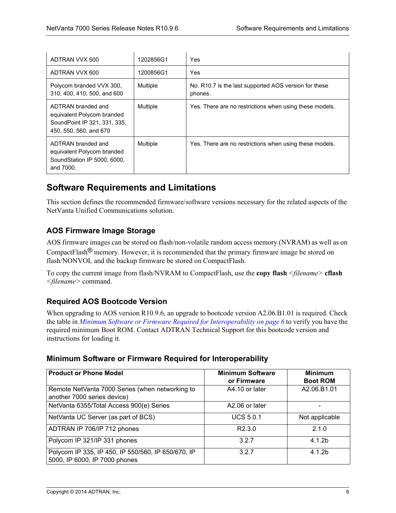| ADTRAN VVX 500                                                                                             | 1202856G1 | Yes                                                              |
|------------------------------------------------------------------------------------------------------------|-----------|------------------------------------------------------------------|
| ADTRAN VVX 600                                                                                             | 1200856G1 | Yes                                                              |
| Polycom branded VVX 300,<br>310, 400, 410, 500, and 600                                                    | Multiple  | No. R10.7 is the last supported AOS version for these<br>phones. |
| ADTRAN branded and<br>equivalent Polycom branded<br>SoundPoint IP 321, 331, 335,<br>450, 550, 560, and 670 | Multiple  | Yes. There are no restrictions when using these models.          |
| ADTRAN branded and<br>equivalent Polycom branded<br>SoundStation IP 5000, 6000,<br>and 7000.               | Multiple  | Yes. There are no restrictions when using these models.          |

# <span id="page-5-0"></span>**Software Requirements and Limitations**

This section defines the recommended firmware/software versions necessary for the related aspects of the NetVanta Unified Communications solution.

## **AOS Firmware Image Storage**

AOS firmware images can be stored on flash/non-volatile random access memory (NVRAM) as well as on CompactFlash® memory. However, it is recommended that the primary firmware image be stored on flash/NONVOL and the backup firmware be stored on CompactFlash.

To copy the current image from flash/NVRAM to CompactFlash, use the **copy flash** *<filename>* **cflash** *<filename>* command.

## **Required AOS Bootcode Version**

When upgrading to AOS version R10.9.6, an upgrade to bootcode version A2.06.B1.01 is required. Check the table in *[Minimum Software or Firmware Required for Interoperability on page 6](#page-5-1)* to verify you have the required minimum Boot ROM. Contact ADTRAN Technical Support for this bootcode version and instructions for loading it.

## <span id="page-5-1"></span>**Minimum Software or Firmware Required for Interoperability**

| <b>Product or Phone Model</b>                                                       | <b>Minimum Software</b><br>or Firmware | <b>Minimum</b><br><b>Boot ROM</b> |
|-------------------------------------------------------------------------------------|----------------------------------------|-----------------------------------|
| Remote NetVanta 7000 Series (when networking to<br>another 7000 series device)      | A4.10 or later                         | A2.06.B1.01                       |
| NetVanta 6355/Total Access 900(e) Series                                            | A2.06 or later                         |                                   |
| NetVanta UC Server (as part of BCS)                                                 | <b>UCS 5.0.1</b>                       | Not applicable                    |
| ADTRAN IP 706/IP 712 phones                                                         | R <sub>2.3.0</sub>                     | 2.1.0                             |
| Polycom IP 321/IP 331 phones                                                        | 3.2.7                                  | 4.1.2 <sub>b</sub>                |
| Polycom IP 335, IP 450, IP 550/560, IP 650/670, IP<br>5000, IP 6000, IP 7000 phones | 3.2.7                                  | 4.1.2 <sub>b</sub>                |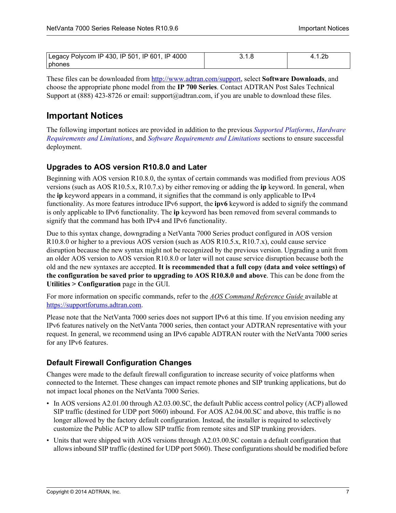| Legacy Polycom IP 430, IP 501, IP 601, IP 4000 |  |
|------------------------------------------------|--|
| <b>I</b> phones                                |  |

These files can be downloaded from<http://www.adtran.com/support>, select **Software Downloads**, and choose the appropriate phone model from the **IP 700 Series**. Contact ADTRAN Post Sales Technical Support at (888) 423-8726 or email: support@adtran.com, if you are unable to download these files.

# <span id="page-6-0"></span>**Important Notices**

The following important notices are provided in addition to the previous *[Supported Platforms](#page-3-0)*, *[Hardware](#page-3-2)  [Requirements and Limitations](#page-3-2)*, and *[Software Requirements and Limitations](#page-5-0)* sections to ensure successful deployment.

## **Upgrades to AOS version R10.8.0 and Later**

Beginning with AOS version R10.8.0, the syntax of certain commands was modified from previous AOS versions (such as AOS R10.5.x, R10.7.x) by either removing or adding the **ip** keyword. In general, when the **ip** keyword appears in a command, it signifies that the command is only applicable to IPv4 functionality. As more features introduce IPv6 support, the **ipv6** keyword is added to signify the command is only applicable to IPv6 functionality. The **ip** keyword has been removed from several commands to signify that the command has both IPv4 and IPv6 functionality.

Due to this syntax change, downgrading a NetVanta 7000 Series product configured in AOS version R10.8.0 or higher to a previous AOS version (such as AOS R10.5.x, R10.7.x), could cause service disruption because the new syntax might not be recognized by the previous version. Upgrading a unit from an older AOS version to AOS version R10.8.0 or later will not cause service disruption because both the old and the new syntaxes are accepted. **It is recommended that a full copy (data and voice settings) of the configuration be saved prior to upgrading to AOS R10.8.0 and above**. This can be done from the **Utilities > Configuration** page in the GUI.

For more information on specific commands, refer to the *AOS Command Reference Guide* available at <https://supportforums.adtran.com>.

Please note that the NetVanta 7000 series does not support IPv6 at this time. If you envision needing any IPv6 features natively on the NetVanta 7000 series, then contact your ADTRAN representative with your request. In general, we recommend using an IPv6 capable ADTRAN router with the NetVanta 7000 series for any IPv6 features.

## **Default Firewall Configuration Changes**

Changes were made to the default firewall configuration to increase security of voice platforms when connected to the Internet. These changes can impact remote phones and SIP trunking applications, but do not impact local phones on the NetVanta 7000 Series.

- In AOS versions A2.01.00 through A2.03.00.SC, the default Public access control policy (ACP) allowed SIP traffic (destined for UDP port 5060) inbound. For AOS A2.04.00.SC and above, this traffic is no longer allowed by the factory default configuration. Instead, the installer is required to selectively customize the Public ACP to allow SIP traffic from remote sites and SIP trunking providers.
- Units that were shipped with AOS versions through A2.03.00.SC contain a default configuration that allows inbound SIP traffic (destined for UDP port 5060). These configurations should be modified before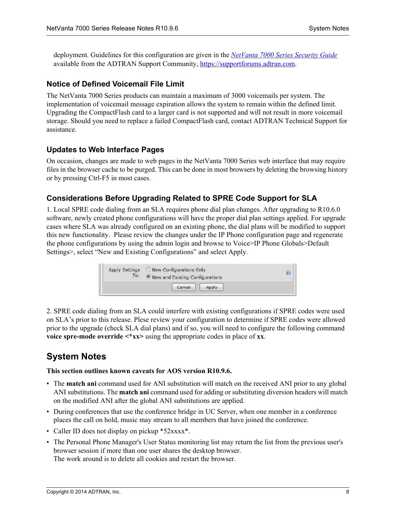deployment. Guidelines for this configuration are given in the *[NetVanta 7000 Series Security Guide](https://supportforums.adtran.com/docs/DOC-2951)* available from the ADTRAN Support Community, https://supportforums.adtran.com.

#### **Notice of Defined Voicemail File Limit**

The NetVanta 7000 Series products can maintain a maximum of 3000 voicemails per system. The implementation of voicemail message expiration allows the system to remain within the defined limit. Upgrading the CompactFlash card to a larger card is not supported and will not result in more voicemail storage. Should you need to replace a failed CompactFlash card, contact ADTRAN Technical Support for assistance.

#### **Updates to Web Interface Pages**

On occasion, changes are made to web pages in the NetVanta 7000 Series web interface that may require files in the browser cache to be purged. This can be done in most browsers by deleting the browsing history or by pressing Ctrl-F5 in most cases.

#### **Considerations Before Upgrading Related to SPRE Code Support for SLA**

1. Local SPRE code dialing from an SLA requires phone dial plan changes. After upgrading to R10.6.0 software, newly created phone configurations will have the proper dial plan settings applied. For upgrade cases where SLA was already configured on an existing phone, the dial plans will be modified to support this new functionality. Please review the changes under the IP Phone configuration page and regenerate the phone configurations by using the admin login and browse to Voice>IP Phone Globals>Default Settings>, select "New and Existing Configurations" and select Apply.

| To: | Apply Settings C New Configurations Only<br><sup>9</sup> New and Existing Configurations |  |
|-----|------------------------------------------------------------------------------------------|--|
|     | Cancel<br>Apply                                                                          |  |

2. SPRE code dialing from an SLA could interfere with existing configurations if SPRE codes were used on SLA's prior to this release. Plese review your configuration to determine if SPRE codes were allowed prior to the upgrade (check SLA dial plans) and if so, you will need to configure the following command **voice spre-mode override <\*xx>** using the appropriate codes in place of **xx**.

## <span id="page-7-0"></span>**System Notes**

#### **This section outlines known caveats for AOS version R10.9.6.**

- The **match ani** command used for ANI substitution will match on the received ANI prior to any global ANI substitutions. The **match ani** command used for adding or substituting diversion headers will match on the modified ANI after the global ANI substitutions are applied.
- During conferences that use the conference bridge in UC Server, when one member in a conference places the call on hold, music may stream to all members that have joined the conference.
- Caller ID does not display on pickup \*52xxxx\*.
- The Personal Phone Manager's User Status monitoring list may return the list from the previous user's browser session if more than one user shares the desktop browser. The work around is to delete all cookies and restart the browser.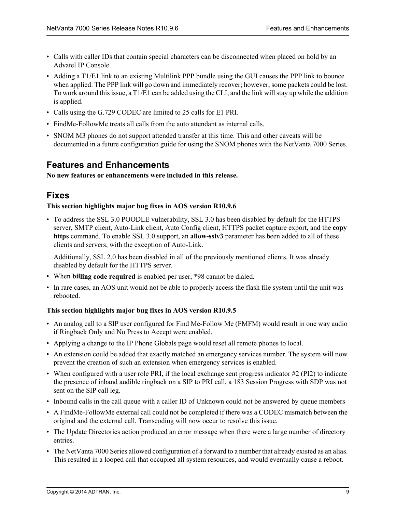- Calls with caller IDs that contain special characters can be disconnected when placed on hold by an Advatel IP Console.
- Adding a T1/E1 link to an existing Multilink PPP bundle using the GUI causes the PPP link to bounce when applied. The PPP link will go down and immediately recover; however, some packets could be lost. To work around this issue, a T1/E1 can be added using the CLI, and the link will stay up while the addition is applied.
- Calls using the G.729 CODEC are limited to 25 calls for E1 PRI.
- FindMe-FollowMe treats all calls from the auto attendant as internal calls.
- SNOM M3 phones do not support attended transfer at this time. This and other caveats will be documented in a future configuration guide for using the SNOM phones with the NetVanta 7000 Series.

## <span id="page-8-0"></span>**Features and Enhancements**

**No new features or enhancements were included in this release.**

## <span id="page-8-1"></span>**Fixes**

#### **This section highlights major bug fixes in AOS version R10.9.6**

• To address the SSL 3.0 POODLE vulnerability, SSL 3.0 has been disabled by default for the HTTPS server, SMTP client, Auto-Link client, Auto Config client, HTTPS packet capture export, and the **copy https** command. To enable SSL 3.0 support, an **allow-sslv3** parameter has been added to all of these clients and servers, with the exception of Auto-Link.

Additionally, SSL 2.0 has been disabled in all of the previously mentioned clients. It was already disabled by default for the HTTPS server.

- When **billing code required** is enabled per user, \*98 cannot be dialed.
- In rare cases, an AOS unit would not be able to properly access the flash file system until the unit was rebooted.

#### **This section highlights major bug fixes in AOS version R10.9.5**

- An analog call to a SIP user configured for Find Me-Follow Me (FMFM) would result in one way audio if Ringback Only and No Press to Accept were enabled.
- Applying a change to the IP Phone Globals page would reset all remote phones to local.
- An extension could be added that exactly matched an emergency services number. The system will now prevent the creation of such an extension when emergency services is enabled.
- When configured with a user role PRI, if the local exchange sent progress indicator #2 (PI2) to indicate the presence of inband audible ringback on a SIP to PRI call, a 183 Session Progress with SDP was not sent on the SIP call leg.
- Inbound calls in the call queue with a caller ID of Unknown could not be answered by queue members
- A FindMe-FollowMe external call could not be completed if there was a CODEC mismatch between the original and the external call. Transcoding will now occur to resolve this issue.
- The Update Directories action produced an error message when there were a large number of directory entries.
- The NetVanta 7000 Series allowed configuration of a forward to a number that already existed as an alias. This resulted in a looped call that occupied all system resources, and would eventually cause a reboot.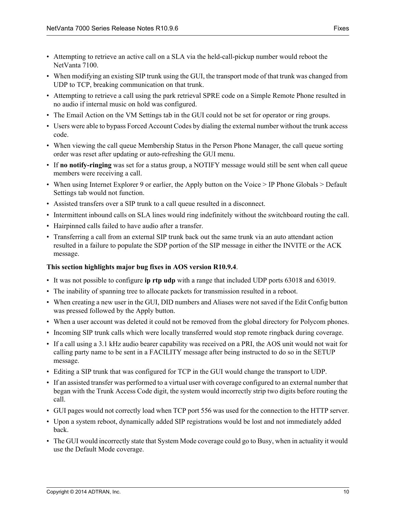- Attempting to retrieve an active call on a SLA via the held-call-pickup number would reboot the NetVanta 7100.
- When modifying an existing SIP trunk using the GUI, the transport mode of that trunk was changed from UDP to TCP, breaking communication on that trunk.
- Attempting to retrieve a call using the park retrieval SPRE code on a Simple Remote Phone resulted in no audio if internal music on hold was configured.
- The Email Action on the VM Settings tab in the GUI could not be set for operator or ring groups.
- Users were able to bypass Forced Account Codes by dialing the external number without the trunk access code.
- When viewing the call queue Membership Status in the Person Phone Manager, the call queue sorting order was reset after updating or auto-refreshing the GUI menu.
- If **no notify-ringing** was set for a status group, a NOTIFY message would still be sent when call queue members were receiving a call.
- When using Internet Explorer 9 or earlier, the Apply button on the Voice > IP Phone Globals > Default Settings tab would not function.
- Assisted transfers over a SIP trunk to a call queue resulted in a disconnect.
- Intermittent inbound calls on SLA lines would ring indefinitely without the switchboard routing the call.
- Hairpinned calls failed to have audio after a transfer.
- Transferring a call from an external SIP trunk back out the same trunk via an auto attendant action resulted in a failure to populate the SDP portion of the SIP message in either the INVITE or the ACK message.

#### **This section highlights major bug fixes in AOS version R10.9.4**.

- It was not possible to configure **ip rtp udp** with a range that included UDP ports 63018 and 63019.
- The inability of spanning tree to allocate packets for transmission resulted in a reboot.
- When creating a new user in the GUI, DID numbers and Aliases were not saved if the Edit Config button was pressed followed by the Apply button.
- When a user account was deleted it could not be removed from the global directory for Polycom phones.
- Incoming SIP trunk calls which were locally transferred would stop remote ringback during coverage.
- If a call using a 3.1 kHz audio bearer capability was received on a PRI, the AOS unit would not wait for calling party name to be sent in a FACILITY message after being instructed to do so in the SETUP message.
- Editing a SIP trunk that was configured for TCP in the GUI would change the transport to UDP.
- If an assisted transfer was performed to a virtual user with coverage configured to an external number that began with the Trunk Access Code digit, the system would incorrectly strip two digits before routing the call.
- GUI pages would not correctly load when TCP port 556 was used for the connection to the HTTP server.
- Upon a system reboot, dynamically added SIP registrations would be lost and not immediately added back.
- The GUI would incorrectly state that System Mode coverage could go to Busy, when in actuality it would use the Default Mode coverage.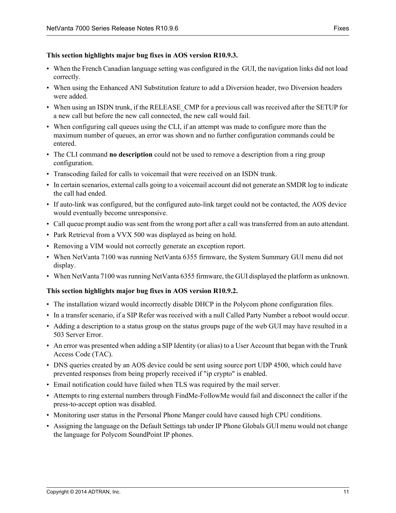#### **This section highlights major bug fixes in AOS version R10.9.3.**

- When the French Canadian language setting was configured in the GUI, the navigation links did not load correctly.
- When using the Enhanced ANI Substitution feature to add a Diversion header, two Diversion headers were added.
- When using an ISDN trunk, if the RELEASE CMP for a previous call was received after the SETUP for a new call but before the new call connected, the new call would fail.
- When configuring call queues using the CLI, if an attempt was made to configure more than the maximum number of queues, an error was shown and no further configuration commands could be entered.
- The CLI command **no description** could not be used to remove a description from a ring group configuration.
- Transcoding failed for calls to voicemail that were received on an ISDN trunk.
- In certain scenarios, external calls going to a voicemail account did not generate an SMDR log to indicate the call had ended.
- If auto-link was configured, but the configured auto-link target could not be contacted, the AOS device would eventually become unresponsive.
- Call queue prompt audio was sent from the wrong port after a call was transferred from an auto attendant.
- Park Retrieval from a VVX 500 was displayed as being on hold.
- Removing a VIM would not correctly generate an exception report.
- When NetVanta 7100 was running NetVanta 6355 firmware, the System Summary GUI menu did not display.
- When NetVanta 7100 was running NetVanta 6355 firmware, the GUI displayed the platform as unknown.

#### **This section highlights major bug fixes in AOS version R10.9.2.**

- The installation wizard would incorrectly disable DHCP in the Polycom phone configuration files.
- In a transfer scenario, if a SIP Refer was received with a null Called Party Number a reboot would occur.
- Adding a description to a status group on the status groups page of the web GUI may have resulted in a 503 Server Error.
- An error was presented when adding a SIP Identity (or alias) to a User Account that began with the Trunk Access Code (TAC).
- DNS queries created by an AOS device could be sent using source port UDP 4500, which could have prevented responses from being properly received if "ip crypto" is enabled.
- Email notification could have failed when TLS was required by the mail server.
- Attempts to ring external numbers through FindMe-FollowMe would fail and disconnect the caller if the press-to-accept option was disabled.
- Monitoring user status in the Personal Phone Manger could have caused high CPU conditions.
- Assigning the language on the Default Settings tab under IP Phone Globals GUI menu would not change the language for Polycom SoundPoint IP phones.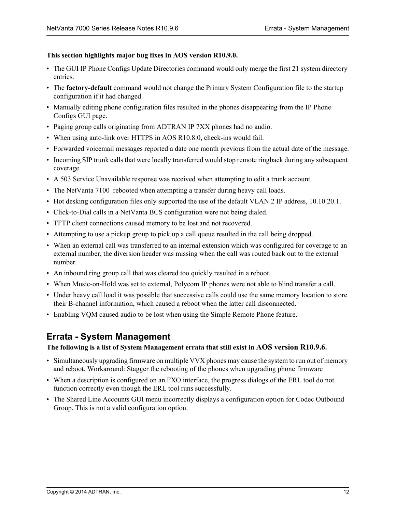#### **This section highlights major bug fixes in AOS version R10.9.0.**

- The GUI IP Phone Configs Update Directories command would only merge the first 21 system directory entries.
- The **factory-default** command would not change the Primary System Configuration file to the startup configuration if it had changed.
- Manually editing phone configuration files resulted in the phones disappearing from the IP Phone Configs GUI page.
- Paging group calls originating from ADTRAN IP 7XX phones had no audio.
- When using auto-link over HTTPS in AOS R10.8.0, check-ins would fail.
- Forwarded voicemail messages reported a date one month previous from the actual date of the message.
- Incoming SIP trunk calls that were locally transferred would stop remote ringback during any subsequent coverage.
- A 503 Service Unavailable response was received when attempting to edit a trunk account.
- The NetVanta 7100 rebooted when attempting a transfer during heavy call loads.
- Hot desking configuration files only supported the use of the default VLAN 2 IP address, 10.10.20.1.
- Click-to-Dial calls in a NetVanta BCS configuration were not being dialed.
- TFTP client connections caused memory to be lost and not recovered.
- Attempting to use a pickup group to pick up a call queue resulted in the call being dropped.
- When an external call was transferred to an internal extension which was configured for coverage to an external number, the diversion header was missing when the call was routed back out to the external number.
- An inbound ring group call that was cleared too quickly resulted in a reboot.
- When Music-on-Hold was set to external, Polycom IP phones were not able to blind transfer a call.
- Under heavy call load it was possible that successive calls could use the same memory location to store their B-channel information, which caused a reboot when the latter call disconnected.
- Enabling VQM caused audio to be lost when using the Simple Remote Phone feature.

## **Errata - System Management**

**The following is a list of System Management errata that still exist in AOS version R10.9.6.**

- Simultaneously upgrading firmware on multiple VVX phones may cause the system to run out of memory and reboot. Workaround: Stagger the rebooting of the phones when upgrading phone firmware
- When a description is configured on an FXO interface, the progress dialogs of the ERL tool do not function correctly even though the ERL tool runs successfully.
- The Shared Line Accounts GUI menu incorrectly displays a configuration option for Codec Outbound Group. This is not a valid configuration option.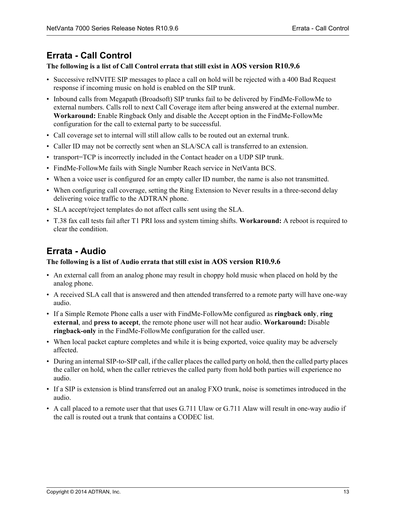# <span id="page-12-0"></span>**Errata - Call Control**

#### **The following is a list of Call Control errata that still exist in AOS version R10.9.6**

- Successive reINVITE SIP messages to place a call on hold will be rejected with a 400 Bad Request response if incoming music on hold is enabled on the SIP trunk.
- Inbound calls from Megapath (Broadsoft) SIP trunks fail to be delivered by FindMe-FollowMe to external numbers. Calls roll to next Call Coverage item after being answered at the external number. **Workaround:** Enable Ringback Only and disable the Accept option in the FindMe-FollowMe configuration for the call to external party to be successful.
- Call coverage set to internal will still allow calls to be routed out an external trunk.
- Caller ID may not be correctly sent when an SLA/SCA call is transferred to an extension.
- transport=TCP is incorrectly included in the Contact header on a UDP SIP trunk.
- FindMe-FollowMe fails with Single Number Reach service in NetVanta BCS.
- When a voice user is configured for an empty caller ID number, the name is also not transmitted.
- When configuring call coverage, setting the Ring Extension to Never results in a three-second delay delivering voice traffic to the ADTRAN phone.
- SLA accept/reject templates do not affect calls sent using the SLA.
- T.38 fax call tests fail after T1 PRI loss and system timing shifts. **Workaround:** A reboot is required to clear the condition.

# <span id="page-12-1"></span>**Errata - Audio**

### **The following is a list of Audio errata that still exist in AOS version R10.9.6**

- An external call from an analog phone may result in choppy hold music when placed on hold by the analog phone.
- A received SLA call that is answered and then attended transferred to a remote party will have one-way audio.
- If a Simple Remote Phone calls a user with FindMe-FollowMe configured as **ringback only**, **ring external**, and **press to accept**, the remote phone user will not hear audio. **Workaround:** Disable **ringback-only** in the FindMe-FollowMe configuration for the called user.
- When local packet capture completes and while it is being exported, voice quality may be adversely affected.
- During an internal SIP-to-SIP call, if the caller places the called party on hold, then the called party places the caller on hold, when the caller retrieves the called party from hold both parties will experience no audio.
- If a SIP is extension is blind transferred out an analog FXO trunk, noise is sometimes introduced in the audio.
- A call placed to a remote user that that uses G.711 Ulaw or G.711 Alaw will result in one-way audio if the call is routed out a trunk that contains a CODEC list.